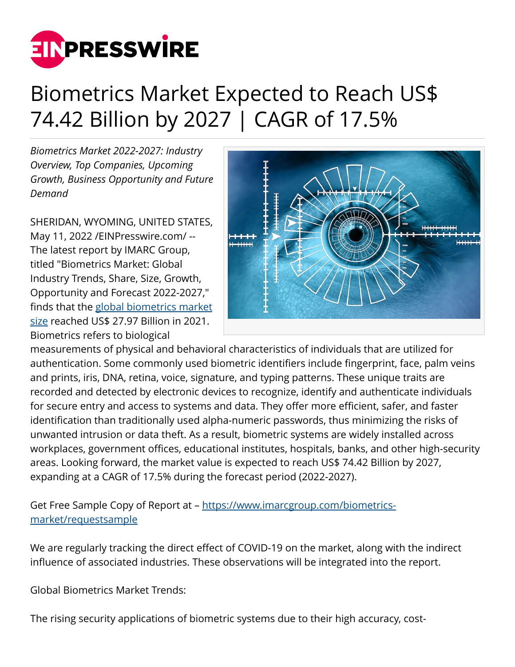

## Biometrics Market Expected to Reach US\$ 74.42 Billion by 2027 | CAGR of 17.5%

*Biometrics Market 2022-2027: Industry Overview, Top Companies, Upcoming Growth, Business Opportunity and Future Demand*

SHERIDAN, WYOMING, UNITED STATES, May 11, 2022 [/EINPresswire.com](http://www.einpresswire.com)/ -- The latest report by IMARC Group, titled "Biometrics Market: Global Industry Trends, Share, Size, Growth, Opportunity and Forecast 2022-2027," finds that the [global biometrics market](https://www.imarcgroup.com/biometrics-market) [size](https://www.imarcgroup.com/biometrics-market) reached US\$ 27.97 Billion in 2021. Biometrics refers to biological



measurements of physical and behavioral characteristics of individuals that are utilized for authentication. Some commonly used biometric identifiers include fingerprint, face, palm veins and prints, iris, DNA, retina, voice, signature, and typing patterns. These unique traits are recorded and detected by electronic devices to recognize, identify and authenticate individuals for secure entry and access to systems and data. They offer more efficient, safer, and faster identification than traditionally used alpha-numeric passwords, thus minimizing the risks of unwanted intrusion or data theft. As a result, biometric systems are widely installed across workplaces, government offices, educational institutes, hospitals, banks, and other high-security areas. Looking forward, the market value is expected to reach US\$ 74.42 Billion by 2027, expanding at a CAGR of 17.5% during the forecast period (2022-2027).

Get Free Sample Copy of Report at - [https://www.imarcgroup.com/biometrics](https://www.imarcgroup.com/biometrics-market/requestsample)[market/requestsample](https://www.imarcgroup.com/biometrics-market/requestsample)

We are regularly tracking the direct effect of COVID-19 on the market, along with the indirect influence of associated industries. These observations will be integrated into the report.

Global Biometrics Market Trends:

The rising security applications of biometric systems due to their high accuracy, cost-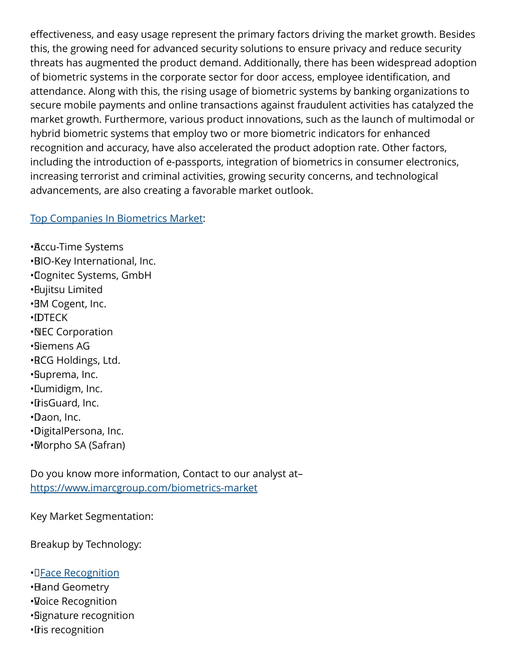effectiveness, and easy usage represent the primary factors driving the market growth. Besides this, the growing need for advanced security solutions to ensure privacy and reduce security threats has augmented the product demand. Additionally, there has been widespread adoption of biometric systems in the corporate sector for door access, employee identification, and attendance. Along with this, the rising usage of biometric systems by banking organizations to secure mobile payments and online transactions against fraudulent activities has catalyzed the market growth. Furthermore, various product innovations, such as the launch of multimodal or hybrid biometric systems that employ two or more biometric indicators for enhanced recognition and accuracy, have also accelerated the product adoption rate. Other factors, including the introduction of e-passports, integration of biometrics in consumer electronics, increasing terrorist and criminal activities, growing security concerns, and technological advancements, are also creating a favorable market outlook.

## [Top Companies In Biometrics Market](https://www.imarcgroup.com/biometrics-manufacturing-companies):

• Accu-Time Systems • BIO-Key International, Inc. • Cognitec Systems, GmbH • Fujitsu Limited •BM Cogent, Inc. • IDTECK • NEC Corporation • Siemens AG • RCG Holdings, Ltd. • Suprema, Inc. • Lumidigm, Inc. • IrisGuard, Inc. • Daon, Inc. • DigitalPersona, Inc. • Morpho SA (Safran)

Do you know more information, Contact to our analyst at– <https://www.imarcgroup.com/biometrics-market>

Key Market Segmentation:

Breakup by Technology:

## •**I[Face Recognition](https://www.imarcgroup.com/facial-recognition-market)**

- • Hand Geometry
- • Voice Recognition
- • Signature recognition
- • Iris recognition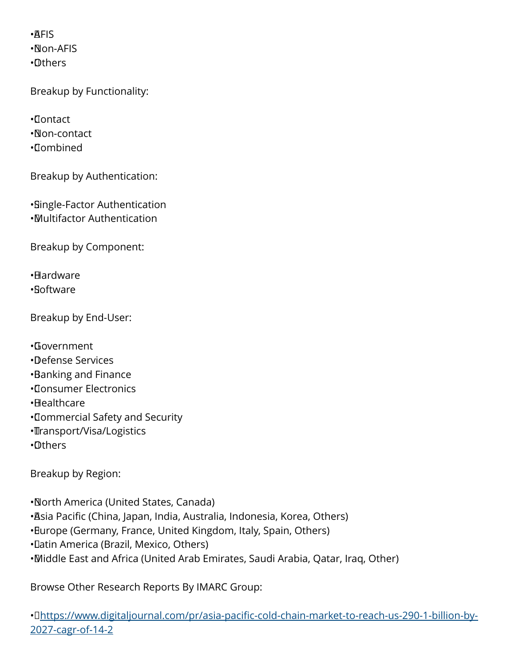• AFIS • Non-AFIS • Others

Breakup by Functionality:

• Contact

• Non-contact

• Combined

Breakup by Authentication:

• Single-Factor Authentication • Multifactor Authentication

Breakup by Component:

• Hardware • Software

Breakup by End-User:

• Government • Defense Services • Banking and Finance • Consumer Electronics • Healthcare • Commercial Safety and Security • Transport/Visa/Logistics

• Others

Breakup by Region:

• North America (United States, Canada)

• Asia Pacific (China, Japan, India, Australia, Indonesia, Korea, Others)

• Europe (Germany, France, United Kingdom, Italy, Spain, Others)

• Latin America (Brazil, Mexico, Others)

• Middle East and Africa (United Arab Emirates, Saudi Arabia, Qatar, Iraq, Other)

Browse Other Research Reports By IMARC Group:

• O[https://www.digitaljournal.com/pr/asia-pacific-cold-chain-market-to-reach-us-290-1-billion-by-](https://www.digitaljournal.com/pr/asia-pacific-cold-chain-market-to-reach-us-290-1-billion-by-2027-cagr-of-14-2)[2027-cagr-of-14-2](https://www.digitaljournal.com/pr/asia-pacific-cold-chain-market-to-reach-us-290-1-billion-by-2027-cagr-of-14-2)